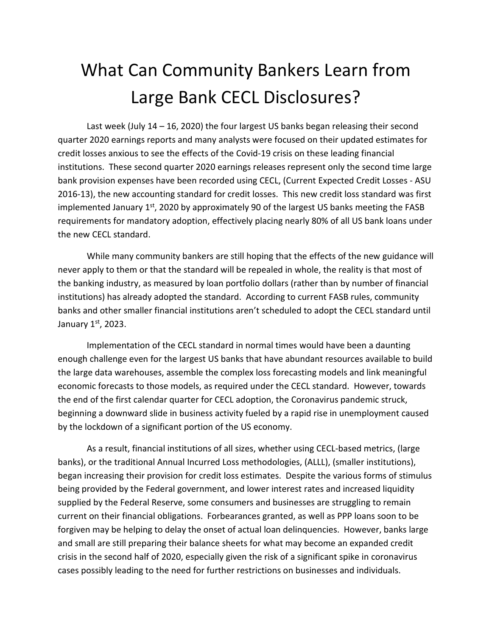## What Can Community Bankers Learn from Large Bank CECL Disclosures?

Last week (July 14 – 16, 2020) the four largest US banks began releasing their second quarter 2020 earnings reports and many analysts were focused on their updated estimates for credit losses anxious to see the effects of the Covid-19 crisis on these leading financial institutions. These second quarter 2020 earnings releases represent only the second time large bank provision expenses have been recorded using CECL, (Current Expected Credit Losses - ASU 2016-13), the new accounting standard for credit losses. This new credit loss standard was first implemented January 1<sup>st</sup>, 2020 by approximately 90 of the largest US banks meeting the FASB requirements for mandatory adoption, effectively placing nearly 80% of all US bank loans under the new CECL standard.

While many community bankers are still hoping that the effects of the new guidance will never apply to them or that the standard will be repealed in whole, the reality is that most of the banking industry, as measured by loan portfolio dollars (rather than by number of financial institutions) has already adopted the standard. According to current FASB rules, community banks and other smaller financial institutions aren't scheduled to adopt the CECL standard until January 1st, 2023.

Implementation of the CECL standard in normal times would have been a daunting enough challenge even for the largest US banks that have abundant resources available to build the large data warehouses, assemble the complex loss forecasting models and link meaningful economic forecasts to those models, as required under the CECL standard. However, towards the end of the first calendar quarter for CECL adoption, the Coronavirus pandemic struck, beginning a downward slide in business activity fueled by a rapid rise in unemployment caused by the lockdown of a significant portion of the US economy.

As a result, financial institutions of all sizes, whether using CECL-based metrics, (large banks), or the traditional Annual Incurred Loss methodologies, (ALLL), (smaller institutions), began increasing their provision for credit loss estimates. Despite the various forms of stimulus being provided by the Federal government, and lower interest rates and increased liquidity supplied by the Federal Reserve, some consumers and businesses are struggling to remain current on their financial obligations. Forbearances granted, as well as PPP loans soon to be forgiven may be helping to delay the onset of actual loan delinquencies. However, banks large and small are still preparing their balance sheets for what may become an expanded credit crisis in the second half of 2020, especially given the risk of a significant spike in coronavirus cases possibly leading to the need for further restrictions on businesses and individuals.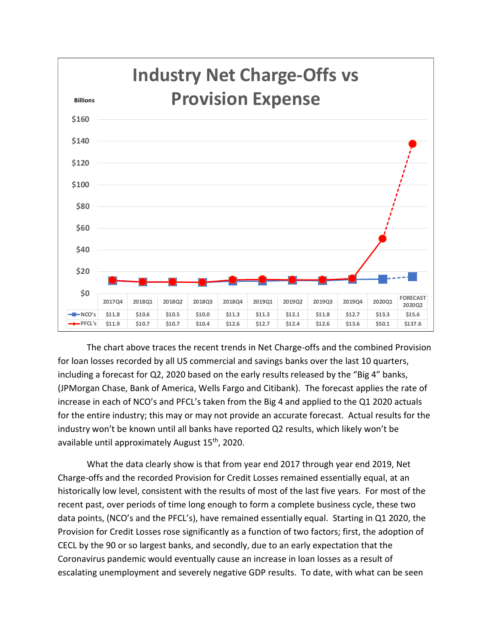

The chart above traces the recent trends in Net Charge-offs and the combined Provision for loan losses recorded by all US commercial and savings banks over the last 10 quarters, including a forecast for Q2, 2020 based on the early results released by the "Big 4" banks, (JPMorgan Chase, Bank of America, Wells Fargo and Citibank). The forecast applies the rate of increase in each of NCO's and PFCL's taken from the Big 4 and applied to the Q1 2020 actuals for the entire industry; this may or may not provide an accurate forecast. Actual results for the industry won't be known until all banks have reported Q2 results, which likely won't be available until approximately August 15th, 2020.

What the data clearly show is that from year end 2017 through year end 2019, Net Charge-offs and the recorded Provision for Credit Losses remained essentially equal, at an historically low level, consistent with the results of most of the last five years. For most of the recent past, over periods of time long enough to form a complete business cycle, these two data points, (NCO's and the PFCL's), have remained essentially equal. Starting in Q1 2020, the Provision for Credit Losses rose significantly as a function of two factors; first, the adoption of CECL by the 90 or so largest banks, and secondly, due to an early expectation that the Coronavirus pandemic would eventually cause an increase in loan losses as a result of escalating unemployment and severely negative GDP results. To date, with what can be seen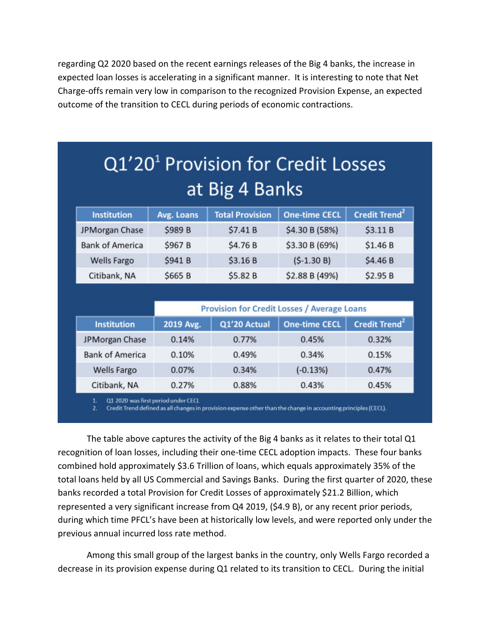regarding Q2 2020 based on the recent earnings releases of the Big 4 banks, the increase in expected loan losses is accelerating in a significant manner. It is interesting to note that Net Charge-offs remain very low in comparison to the recognized Provision Expense, an expected outcome of the transition to CECL during periods of economic contractions.

# Q1'20<sup>1</sup> Provision for Credit Losses at Big 4 Banks

| <b>Institution</b>     | Avg. Loans | <b>Total Provision</b> | <b>One-time CECL</b> | Credit Trend <sup>2</sup> |
|------------------------|------------|------------------------|----------------------|---------------------------|
| JPMorgan Chase         | \$989 B    | \$7.41B                | \$4.30 B (58%)       | \$3.11 B                  |
| <b>Bank of America</b> | \$967 B    | \$4.76 B               | \$3.30 B (69%)       | \$1.46B                   |
| <b>Wells Fargo</b>     | \$941 B    | \$3.16B                | $(5-1.30 B)$         | \$4.46 B                  |
| Citibank, NA           | \$665 B    | \$5.82 B               | \$2.88 B (49%)       | \$2.95B                   |

|                        | <b>Provision for Credit Losses / Average Loans</b> |              |                      |                           |
|------------------------|----------------------------------------------------|--------------|----------------------|---------------------------|
| <b>Institution</b>     | 2019 Avg.                                          | Q1'20 Actual | <b>One-time CECL</b> | Credit Trend <sup>2</sup> |
| JPMorgan Chase         | 0.14%                                              | 0.77%        | 0.45%                | 0.32%                     |
| <b>Bank of America</b> | 0.10%                                              | 0.49%        | 0.34%                | 0.15%                     |
| Wells Fargo            | 0.07%                                              | 0.34%        | $(-0.13%)$           | 0.47%                     |
| Citibank, NA           | 0.27%                                              | 0.88%        | 0.43%                | 0.45%                     |

Q1 2020 was first period under CECL

Credit Trend defined as all changes in provision expense other than the change in accounting principles (CECL).

The table above captures the activity of the Big 4 banks as it relates to their total Q1 recognition of loan losses, including their one-time CECL adoption impacts. These four banks combined hold approximately \$3.6 Trillion of loans, which equals approximately 35% of the total loans held by all US Commercial and Savings Banks. During the first quarter of 2020, these banks recorded a total Provision for Credit Losses of approximately \$21.2 Billion, which represented a very significant increase from Q4 2019, (\$4.9 B), or any recent prior periods, during which time PFCL's have been at historically low levels, and were reported only under the previous annual incurred loss rate method.

Among this small group of the largest banks in the country, only Wells Fargo recorded a decrease in its provision expense during Q1 related to its transition to CECL. During the initial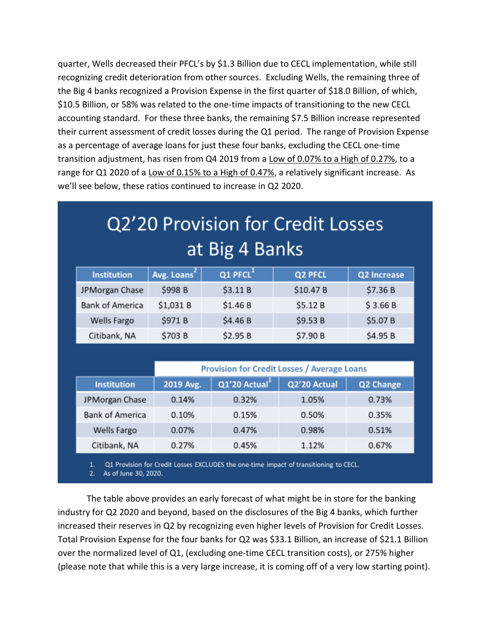quarter, Wells decreased their PFCL's by \$1.3 Billion due to CECL implementation, while still recognizing credit deterioration from other sources. Excluding Wells, the remaining three of the Big 4 banks recognized a Provision Expense in the first quarter of \$18.0 Billion, of which, \$10.5 Billion, or 58% was related to the one-time impacts of transitioning to the new CECL accounting standard. For these three banks, the remaining \$7.5 Billion increase represented their current assessment of credit losses during the Q1 period. The range of Provision Expense as a percentage of average loans for just these four banks, excluding the CECL one-time transition adjustment, has risen from Q4 2019 from a Low of 0.07% to a High of 0.27%, to a range for Q1 2020 of a Low of 0.15% to a High of 0.47%, a relatively significant increase. As we'll see below, these ratios continued to increase in Q2 2020.

# Q2'20 Provision for Credit Losses at Big 4 Banks

| <b>Institution</b>     | Avg. Loans | Q1 PFCL  | Q2 PFCL   | Q2 Increase |
|------------------------|------------|----------|-----------|-------------|
| JPMorgan Chase         | \$998 B    | \$3.11B  | \$10.47 B | \$7.36B     |
| <b>Bank of America</b> | \$1,031 B  | \$1.46 B | \$5.12B   | \$3.66B     |
| <b>Wells Fargo</b>     | \$971 B    | \$4.46 B | \$9.53 B  | \$5.07 B    |
| Citibank, NA           | \$703 B    | \$2.95B  | \$7.90 B  | \$4.95 B    |

|                        | <b>Provision for Credit Losses / Average Loans</b> |              |              |           |
|------------------------|----------------------------------------------------|--------------|--------------|-----------|
| <b>Institution</b>     | 2019 Avg.                                          | Q1'20 Actual | Q2'20 Actual | Q2 Change |
| JPMorgan Chase         | 0.14%                                              | 0.32%        | 1.05%        | 0.73%     |
| <b>Bank of America</b> | 0.10%                                              | 0.15%        | 0.50%        | 0.35%     |
| <b>Wells Fargo</b>     | 0.07%                                              | 0.47%        | 0.98%        | 0.51%     |
| Citibank, NA           | 0.27%                                              | 0.45%        | 1.12%        | 0.67%     |

Q1 Provision for Credit Losses EXCLUDES the one-time impact of transitioning to CECL. 1.

2. As of June 30, 2020.

The table above provides an early forecast of what might be in store for the banking industry for Q2 2020 and beyond, based on the disclosures of the Big 4 banks, which further increased their reserves in Q2 by recognizing even higher levels of Provision for Credit Losses. Total Provision Expense for the four banks for Q2 was \$33.1 Billion, an increase of \$21.1 Billion over the normalized level of Q1, (excluding one-time CECL transition costs), or 275% higher (please note that while this is a very large increase, it is coming off of a very low starting point).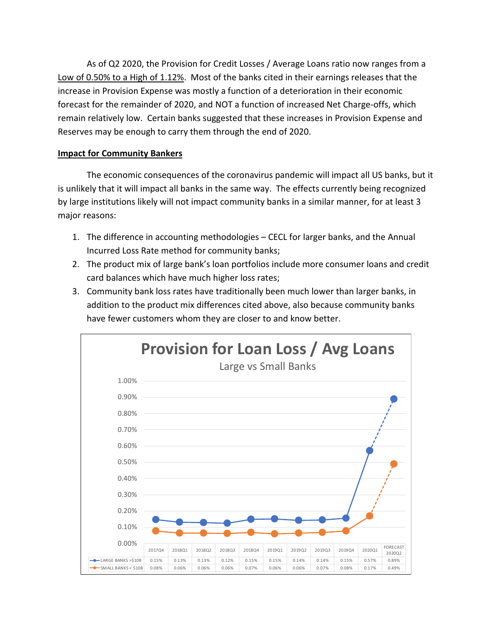As of Q2 2020, the Provision for Credit Losses / Average Loans ratio now ranges from a Low of 0.50% to a High of 1.12%. Most of the banks cited in their earnings releases that the increase in Provision Expense was mostly a function of a deterioration in their economic forecast for the remainder of 2020, and NOT a function of increased Net Charge-offs, which remain relatively low. Certain banks suggested that these increases in Provision Expense and Reserves may be enough to carry them through the end of 2020.

### **Impact for Community Bankers**

 The economic consequences of the coronavirus pandemic will impact all US banks, but it is unlikely that it will impact all banks in the same way. The effects currently being recognized by large institutions likely will not impact community banks in a similar manner, for at least 3 major reasons:

- 1. The difference in accounting methodologies CECL for larger banks, and the Annual Incurred Loss Rate method for community banks;
- 2. The product mix of large bank's loan portfolios include more consumer loans and credit card balances which have much higher loss rates;
- 3. Community bank loss rates have traditionally been much lower than larger banks, in addition to the product mix differences cited above, also because community banks have fewer customers whom they are closer to and know better.

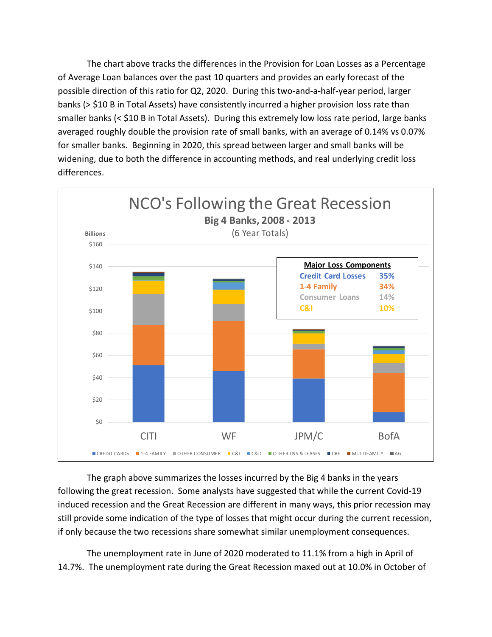The chart above tracks the differences in the Provision for Loan Losses as a Percentage of Average Loan balances over the past 10 quarters and provides an early forecast of the possible direction of this ratio for Q2, 2020. During this two-and-a-half-year period, larger banks (> \$10 B in Total Assets) have consistently incurred a higher provision loss rate than smaller banks (< \$10 B in Total Assets). During this extremely low loss rate period, large banks averaged roughly double the provision rate of small banks, with an average of 0.14% vs 0.07% for smaller banks. Beginning in 2020, this spread between larger and small banks will be widening, due to both the difference in accounting methods, and real underlying credit loss differences.



 The graph above summarizes the losses incurred by the Big 4 banks in the years following the great recession. Some analysts have suggested that while the current Covid-19 induced recession and the Great Recession are different in many ways, this prior recession may still provide some indication of the type of losses that might occur during the current recession, if only because the two recessions share somewhat similar unemployment consequences.

The unemployment rate in June of 2020 moderated to 11.1% from a high in April of 14.7%. The unemployment rate during the Great Recession maxed out at 10.0% in October of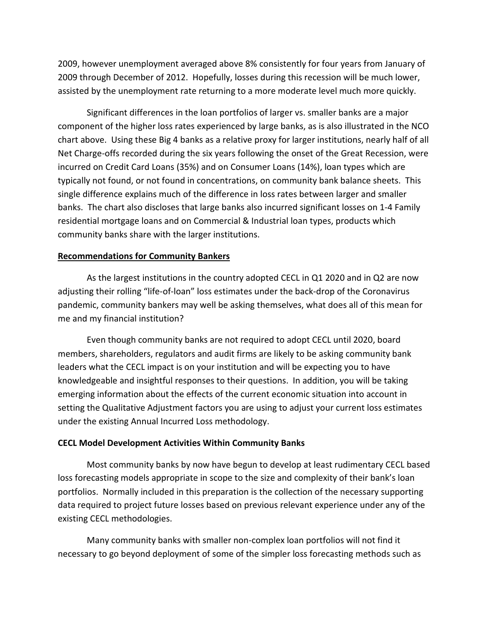2009, however unemployment averaged above 8% consistently for four years from January of 2009 through December of 2012. Hopefully, losses during this recession will be much lower, assisted by the unemployment rate returning to a more moderate level much more quickly.

Significant differences in the loan portfolios of larger vs. smaller banks are a major component of the higher loss rates experienced by large banks, as is also illustrated in the NCO chart above. Using these Big 4 banks as a relative proxy for larger institutions, nearly half of all Net Charge-offs recorded during the six years following the onset of the Great Recession, were incurred on Credit Card Loans (35%) and on Consumer Loans (14%), loan types which are typically not found, or not found in concentrations, on community bank balance sheets. This single difference explains much of the difference in loss rates between larger and smaller banks. The chart also discloses that large banks also incurred significant losses on 1-4 Family residential mortgage loans and on Commercial & Industrial loan types, products which community banks share with the larger institutions.

### **Recommendations for Community Bankers**

As the largest institutions in the country adopted CECL in Q1 2020 and in Q2 are now adjusting their rolling "life-of-loan" loss estimates under the back-drop of the Coronavirus pandemic, community bankers may well be asking themselves, what does all of this mean for me and my financial institution?

Even though community banks are not required to adopt CECL until 2020, board members, shareholders, regulators and audit firms are likely to be asking community bank leaders what the CECL impact is on your institution and will be expecting you to have knowledgeable and insightful responses to their questions. In addition, you will be taking emerging information about the effects of the current economic situation into account in setting the Qualitative Adjustment factors you are using to adjust your current loss estimates under the existing Annual Incurred Loss methodology.

### **CECL Model Development Activities Within Community Banks**

Most community banks by now have begun to develop at least rudimentary CECL based loss forecasting models appropriate in scope to the size and complexity of their bank's loan portfolios. Normally included in this preparation is the collection of the necessary supporting data required to project future losses based on previous relevant experience under any of the existing CECL methodologies.

Many community banks with smaller non-complex loan portfolios will not find it necessary to go beyond deployment of some of the simpler loss forecasting methods such as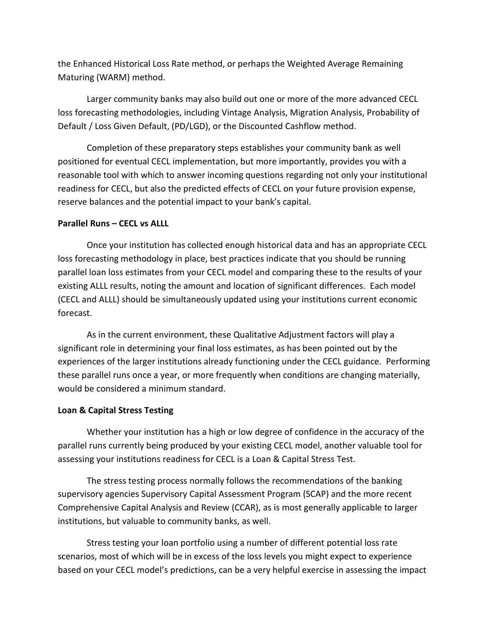the Enhanced Historical Loss Rate method, or perhaps the Weighted Average Remaining Maturing (WARM) method.

Larger community banks may also build out one or more of the more advanced CECL loss forecasting methodologies, including Vintage Analysis, Migration Analysis, Probability of Default / Loss Given Default, (PD/LGD), or the Discounted Cashflow method.

Completion of these preparatory steps establishes your community bank as well positioned for eventual CECL implementation, but more importantly, provides you with a reasonable tool with which to answer incoming questions regarding not only your institutional readiness for CECL, but also the predicted effects of CECL on your future provision expense, reserve balances and the potential impact to your bank's capital.

### **Parallel Runs – CECL vs ALLL**

Once your institution has collected enough historical data and has an appropriate CECL loss forecasting methodology in place, best practices indicate that you should be running parallel loan loss estimates from your CECL model and comparing these to the results of your existing ALLL results, noting the amount and location of significant differences. Each model (CECL and ALLL) should be simultaneously updated using your institutions current economic forecast.

As in the current environment, these Qualitative Adjustment factors will play a significant role in determining your final loss estimates, as has been pointed out by the experiences of the larger institutions already functioning under the CECL guidance. Performing these parallel runs once a year, or more frequently when conditions are changing materially, would be considered a minimum standard.

#### **Loan & Capital Stress Testing**

Whether your institution has a high or low degree of confidence in the accuracy of the parallel runs currently being produced by your existing CECL model, another valuable tool for assessing your institutions readiness for CECL is a Loan & Capital Stress Test.

The stress testing process normally follows the recommendations of the banking supervisory agencies Supervisory Capital Assessment Program (SCAP) and the more recent Comprehensive Capital Analysis and Review (CCAR), as is most generally applicable to larger institutions, but valuable to community banks, as well.

Stress testing your loan portfolio using a number of different potential loss rate scenarios, most of which will be in excess of the loss levels you might expect to experience based on your CECL model's predictions, can be a very helpful exercise in assessing the impact